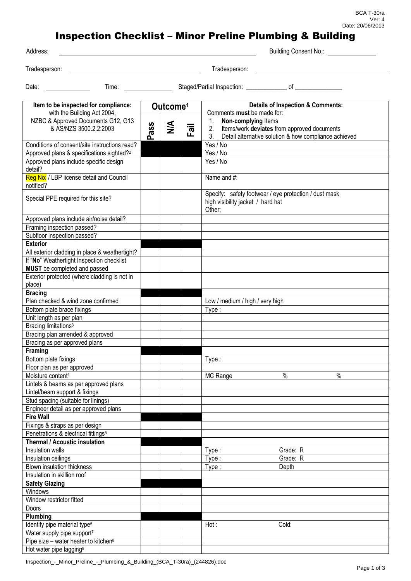## Inspection Checklist – Minor Preline Plumbing & Building

Building Consent No.:

| Tradesperson |  |  |
|--------------|--|--|
|              |  |  |
|              |  |  |

Tradesperson: Tradesperson:

| v |  |
|---|--|

Date: Time: Staged/Partial Inspection: \_\_\_\_\_\_\_\_\_\_\_\_\_ of \_\_\_\_\_\_\_\_\_\_\_\_\_\_\_

| Item to be inspected for compliance:                  | Outcome <sup>1</sup> |   |      | <b>Details of Inspection &amp; Comments:</b>                |  |  |
|-------------------------------------------------------|----------------------|---|------|-------------------------------------------------------------|--|--|
| with the Building Act 2004,                           |                      |   |      | Comments must be made for:                                  |  |  |
| NZBC & Approved Documents G12, G13                    |                      |   |      | 1.<br>Non-complying Items                                   |  |  |
| & AS/NZS 3500.2.2:2003                                | Pass                 | ≸ | Fail | 2.<br>Items/work deviates from approved documents           |  |  |
|                                                       |                      |   |      | 3.<br>Detail alternative solution & how compliance achieved |  |  |
| Conditions of consent/site instructions read?         |                      |   |      | Yes / No                                                    |  |  |
| Approved plans & specifications sighted? <sup>2</sup> |                      |   |      | Yes / No                                                    |  |  |
| Approved plans include specific design                |                      |   |      | Yes / No                                                    |  |  |
| detail?                                               |                      |   |      |                                                             |  |  |
| Reg No: / LBP license detail and Council<br>notified? |                      |   |      | Name and #:                                                 |  |  |
|                                                       |                      |   |      | Specify: safety footwear / eye protection / dust mask       |  |  |
| Special PPE required for this site?                   |                      |   |      | high visibility jacket / hard hat                           |  |  |
|                                                       |                      |   |      | Other:                                                      |  |  |
|                                                       |                      |   |      |                                                             |  |  |
| Approved plans include air/noise detail?              |                      |   |      |                                                             |  |  |
| Framing inspection passed?                            |                      |   |      |                                                             |  |  |
| Subfloor inspection passed?                           |                      |   |      |                                                             |  |  |
| <b>Exterior</b>                                       |                      |   |      |                                                             |  |  |
| All exterior cladding in place & weathertight?        |                      |   |      |                                                             |  |  |
| If "No" Weathertight Inspection checklist             |                      |   |      |                                                             |  |  |
| MUST be completed and passed                          |                      |   |      |                                                             |  |  |
| Exterior protected (where cladding is not in          |                      |   |      |                                                             |  |  |
| place)                                                |                      |   |      |                                                             |  |  |
| <b>Bracing</b>                                        |                      |   |      |                                                             |  |  |
| Plan checked & wind zone confirmed                    |                      |   |      | Low / medium / high / very high                             |  |  |
| Bottom plate brace fixings                            |                      |   |      | Type:                                                       |  |  |
| Unit length as per plan                               |                      |   |      |                                                             |  |  |
| Bracing limitations <sup>3</sup>                      |                      |   |      |                                                             |  |  |
| Bracing plan amended & approved                       |                      |   |      |                                                             |  |  |
| Bracing as per approved plans                         |                      |   |      |                                                             |  |  |
| <b>Framing</b>                                        |                      |   |      |                                                             |  |  |
| Bottom plate fixings                                  |                      |   |      | Type:                                                       |  |  |
| Floor plan as per approved                            |                      |   |      |                                                             |  |  |
| Moisture content <sup>4</sup>                         |                      |   |      | $\%$<br>$\%$<br>MC Range                                    |  |  |
| Lintels & beams as per approved plans                 |                      |   |      |                                                             |  |  |
| Lintel/beam support & fixings                         |                      |   |      |                                                             |  |  |
| Stud spacing (suitable for linings)                   |                      |   |      |                                                             |  |  |
| Engineer detail as per approved plans                 |                      |   |      |                                                             |  |  |
| <b>Fire Wall</b>                                      |                      |   |      |                                                             |  |  |
| Fixings & straps as per design                        |                      |   |      |                                                             |  |  |
| Penetrations & electrical fittings <sup>5</sup>       |                      |   |      |                                                             |  |  |
| <b>Thermal / Acoustic insulation</b>                  |                      |   |      |                                                             |  |  |
| Insulation walls                                      |                      |   |      | Type:<br>Grade: R                                           |  |  |
| Insulation ceilings                                   |                      |   |      | Grade: R<br>Type:                                           |  |  |
| Blown insulation thickness                            |                      |   |      | Depth<br>Type:                                              |  |  |
| Insulation in skillion roof                           |                      |   |      |                                                             |  |  |
| <b>Safety Glazing</b>                                 |                      |   |      |                                                             |  |  |
| Windows                                               |                      |   |      |                                                             |  |  |
| Window restrictor fitted                              |                      |   |      |                                                             |  |  |
| Doors                                                 |                      |   |      |                                                             |  |  |
| Plumbing                                              |                      |   |      |                                                             |  |  |
| Identify pipe material type <sup>6</sup>              |                      |   |      | Cold:<br>Hot:                                               |  |  |
| Water supply pipe support7                            |                      |   |      |                                                             |  |  |
| Pipe size - water heater to kitchen <sup>8</sup>      |                      |   |      |                                                             |  |  |
| Hot water pipe lagging <sup>9</sup>                   |                      |   |      |                                                             |  |  |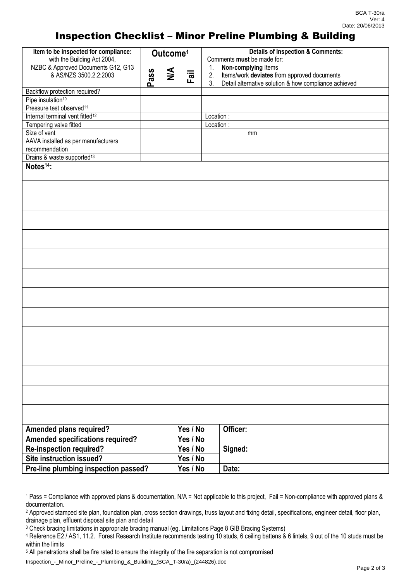## Inspection Checklist – Minor Preline Plumbing & Building

| Item to be inspected for compliance:        | Outcome <sup>1</sup> |        |          | <b>Details of Inspection &amp; Comments:</b>                                                                                 |  |  |
|---------------------------------------------|----------------------|--------|----------|------------------------------------------------------------------------------------------------------------------------------|--|--|
| with the Building Act 2004,                 |                      |        |          | Comments must be made for:                                                                                                   |  |  |
| NZBC & Approved Documents G12, G13          |                      | $\leq$ |          | Non-complying Items<br>1.                                                                                                    |  |  |
| & AS/NZS 3500.2.2:2003                      | Pass                 |        | lig<br>F | Items/work deviates from approved documents<br>2.<br>3 <sub>1</sub><br>Detail alternative solution & how compliance achieved |  |  |
| Backflow protection required?               |                      |        |          |                                                                                                                              |  |  |
| Pipe insulation <sup>10</sup>               |                      |        |          |                                                                                                                              |  |  |
| Pressure test observed <sup>11</sup>        |                      |        |          |                                                                                                                              |  |  |
| Internal terminal vent fitted <sup>12</sup> |                      |        |          | Location:                                                                                                                    |  |  |
| Tempering valve fitted                      |                      |        |          | Location :                                                                                                                   |  |  |
| Size of vent                                |                      |        |          | mm                                                                                                                           |  |  |
| AAVA installed as per manufacturers         |                      |        |          |                                                                                                                              |  |  |
| recommendation                              |                      |        |          |                                                                                                                              |  |  |
| Drains & waste supported <sup>13</sup>      |                      |        |          |                                                                                                                              |  |  |
| Notes <sup>14</sup> :                       |                      |        |          |                                                                                                                              |  |  |
|                                             |                      |        |          |                                                                                                                              |  |  |
|                                             |                      |        |          |                                                                                                                              |  |  |
|                                             |                      |        |          |                                                                                                                              |  |  |
|                                             |                      |        |          |                                                                                                                              |  |  |
|                                             |                      |        |          |                                                                                                                              |  |  |
|                                             |                      |        |          |                                                                                                                              |  |  |
|                                             |                      |        |          |                                                                                                                              |  |  |
|                                             |                      |        |          |                                                                                                                              |  |  |
|                                             |                      |        |          |                                                                                                                              |  |  |
|                                             |                      |        |          |                                                                                                                              |  |  |
|                                             |                      |        |          |                                                                                                                              |  |  |
|                                             |                      |        |          |                                                                                                                              |  |  |
|                                             |                      |        |          |                                                                                                                              |  |  |
|                                             |                      |        |          |                                                                                                                              |  |  |
|                                             |                      |        |          |                                                                                                                              |  |  |
|                                             |                      |        |          |                                                                                                                              |  |  |
|                                             |                      |        |          |                                                                                                                              |  |  |
|                                             |                      |        |          |                                                                                                                              |  |  |
|                                             |                      |        |          |                                                                                                                              |  |  |
|                                             |                      |        |          |                                                                                                                              |  |  |
|                                             |                      |        |          |                                                                                                                              |  |  |
|                                             |                      |        |          |                                                                                                                              |  |  |
|                                             |                      |        |          |                                                                                                                              |  |  |
|                                             |                      |        |          |                                                                                                                              |  |  |
|                                             |                      |        |          |                                                                                                                              |  |  |
|                                             |                      |        |          |                                                                                                                              |  |  |
|                                             |                      |        |          |                                                                                                                              |  |  |
|                                             |                      |        |          |                                                                                                                              |  |  |
|                                             |                      |        |          |                                                                                                                              |  |  |
|                                             |                      |        |          |                                                                                                                              |  |  |
|                                             |                      |        | Yes / No | Officer:                                                                                                                     |  |  |
| <b>Amended plans required?</b>              |                      |        |          |                                                                                                                              |  |  |
| <b>Amended specifications required?</b>     |                      |        | Yes / No |                                                                                                                              |  |  |
| <b>Re-inspection required?</b>              |                      |        | Yes / No | Signed:                                                                                                                      |  |  |
| Site instruction issued?                    |                      |        | Yes / No |                                                                                                                              |  |  |
| Pre-line plumbing inspection passed?        |                      |        | Yes / No | Date:                                                                                                                        |  |  |

<sup>5</sup> All penetrations shall be fire rated to ensure the integrity of the fire separation is not compromised

Inspection\_-\_Minor\_Preline\_-\_Plumbing\_&\_Building\_(BCA\_T-30ra)\_(244826).doc

<sup>1</sup> Pass = Compliance with approved plans & documentation, N/A = Not applicable to this project, Fail = Non-compliance with approved plans & documentation.

<sup>&</sup>lt;sup>2</sup> Approved stamped site plan, foundation plan, cross section drawings, truss layout and fixing detail, specifications, engineer detail, floor plan, drainage plan, effluent disposal site plan and detail

<sup>3</sup> Check bracing limitations in appropriate bracing manual (eg. Limitations Page 8 GIB Bracing Systems)

<sup>4</sup> Reference E2 / AS1, 11.2. Forest Research Institute recommends testing 10 studs, 6 ceiling battens & 6 lintels, 9 out of the 10 studs must be within the limits